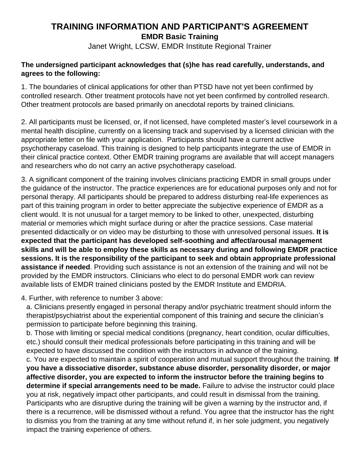## **TRAINING INFORMATION AND PARTICIPANT'S AGREEMENT EMDR Basic Training**

Janet Wright, LCSW, EMDR Institute Regional Trainer

## **The undersigned participant acknowledges that (s)he has read carefully, understands, and agrees to the following:**

1. The boundaries of clinical applications for other than PTSD have not yet been confirmed by controlled research. Other treatment protocols have not yet been confirmed by controlled research. Other treatment protocols are based primarily on anecdotal reports by trained clinicians.

2. All participants must be licensed, or, if not licensed, have completed master's level coursework in a mental health discipline, currently on a licensing track and supervised by a licensed clinician with the appropriate letter on file with your application. Participants should have a current active psychotherapy caseload. This training is designed to help participants integrate the use of EMDR in their clinical practice context. Other EMDR training programs are available that will accept managers and researchers who do not carry an active psychotherapy caseload.

3. A significant component of the training involves clinicians practicing EMDR in small groups under the guidance of the instructor. The practice experiences are for educational purposes only and not for personal therapy. All participants should be prepared to address disturbing real-life experiences as part of this training program in order to better appreciate the subjective experience of EMDR as a client would. It is not unusual for a target memory to be linked to other, unexpected, disturbing material or memories which might surface during or after the practice sessions. Case material presented didactically or on video may be disturbing to those with unresolved personal issues. **It is expected that the participant has developed self-soothing and affect/arousal management skills and will be able to employ these skills as necessary during and following EMDR practice sessions. It is the responsibility of the participant to seek and obtain appropriate professional assistance if needed**. Providing such assistance is not an extension of the training and will not be provided by the EMDR instructors. Clinicians who elect to do personal EMDR work can review available lists of EMDR trained clinicians posted by the EMDR Institute and EMDRIA.

4. Further, with reference to number 3 above:

a. Clinicians presently engaged in personal therapy and/or psychiatric treatment should inform the therapist/psychiatrist about the experiential component of this training and secure the clinician's permission to participate before beginning this training.

b. Those with limiting or special medical conditions (pregnancy, heart condition, ocular difficulties, etc.) should consult their medical professionals before participating in this training and will be expected to have discussed the condition with the instructors in advance of the training.

c. You are expected to maintain a spirit of cooperation and mutual support throughout the training. **If you have a dissociative disorder, substance abuse disorder, personality disorder, or major affective disorder, you are expected to inform the instructor before the training begins to determine if special arrangements need to be made.** Failure to advise the instructor could place you at risk, negatively impact other participants, and could result in dismissal from the training. Participants who are disruptive during the training will be given a warning by the instructor and, if there is a recurrence, will be dismissed without a refund. You agree that the instructor has the right to dismiss you from the training at any time without refund if, in her sole judgment, you negatively impact the training experience of others.